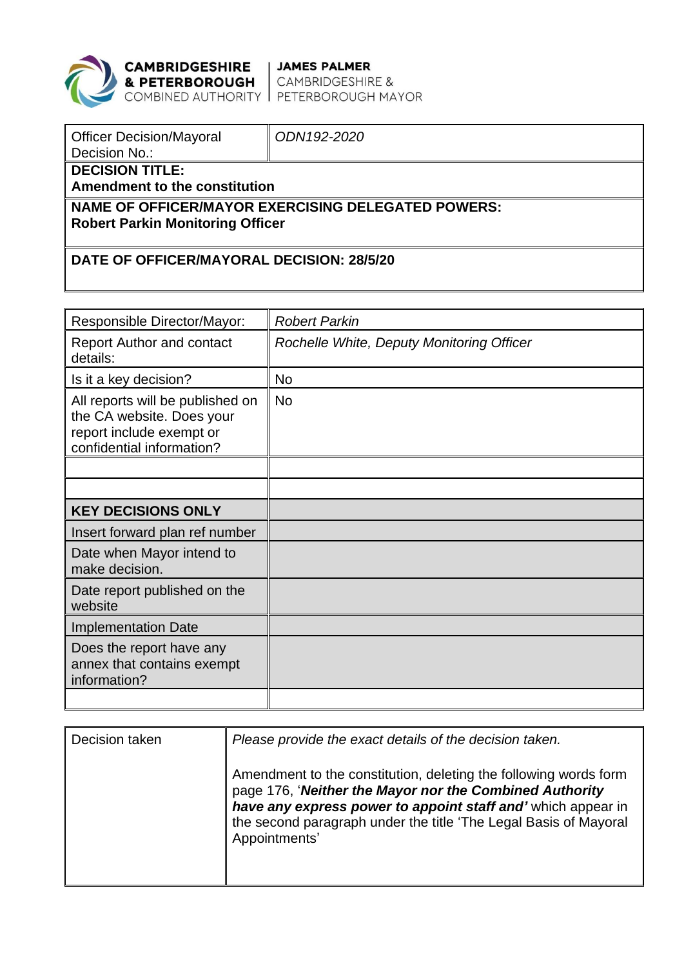

**CAMBRIDGESHIRE | JAMES PALMER<br>& PETERBOROUGH |** CAMBRIDGESHIRE &<br>COMBINED AUTHORITY | PETERBOROUGH MAYOR

| <b>Officer Decision/Mayoral</b><br>Decision No.:                                              | ODN192-2020 |  |  |  |
|-----------------------------------------------------------------------------------------------|-------------|--|--|--|
| <b>DECISION TITLE:</b><br>Amendment to the constitution                                       |             |  |  |  |
| NAME OF OFFICER/MAYOR EXERCISING DELEGATED POWERS:<br><b>Robert Parkin Monitoring Officer</b> |             |  |  |  |
| DATE OF OFFICER/MAYORAL DECISION: 28/5/20                                                     |             |  |  |  |

| <b>Responsible Director/Mayor:</b>                                                                                     | <b>Robert Parkin</b>                      |  |  |
|------------------------------------------------------------------------------------------------------------------------|-------------------------------------------|--|--|
| <b>Report Author and contact</b><br>details:                                                                           | Rochelle White, Deputy Monitoring Officer |  |  |
| Is it a key decision?                                                                                                  | <b>No</b>                                 |  |  |
| All reports will be published on<br>the CA website. Does your<br>report include exempt or<br>confidential information? | <b>No</b>                                 |  |  |
|                                                                                                                        |                                           |  |  |
|                                                                                                                        |                                           |  |  |
| <b>KEY DECISIONS ONLY</b>                                                                                              |                                           |  |  |
| Insert forward plan ref number                                                                                         |                                           |  |  |
| Date when Mayor intend to<br>make decision.                                                                            |                                           |  |  |
| Date report published on the<br>website                                                                                |                                           |  |  |
| <b>Implementation Date</b>                                                                                             |                                           |  |  |
| Does the report have any<br>annex that contains exempt<br>information?                                                 |                                           |  |  |
|                                                                                                                        |                                           |  |  |

| Decision taken | Please provide the exact details of the decision taken.                                                                                                                                                                                                                          |
|----------------|----------------------------------------------------------------------------------------------------------------------------------------------------------------------------------------------------------------------------------------------------------------------------------|
|                | Amendment to the constitution, deleting the following words form<br>page 176, 'Neither the Mayor nor the Combined Authority<br>have any express power to appoint staff and' which appear in<br>the second paragraph under the title 'The Legal Basis of Mayoral<br>Appointments' |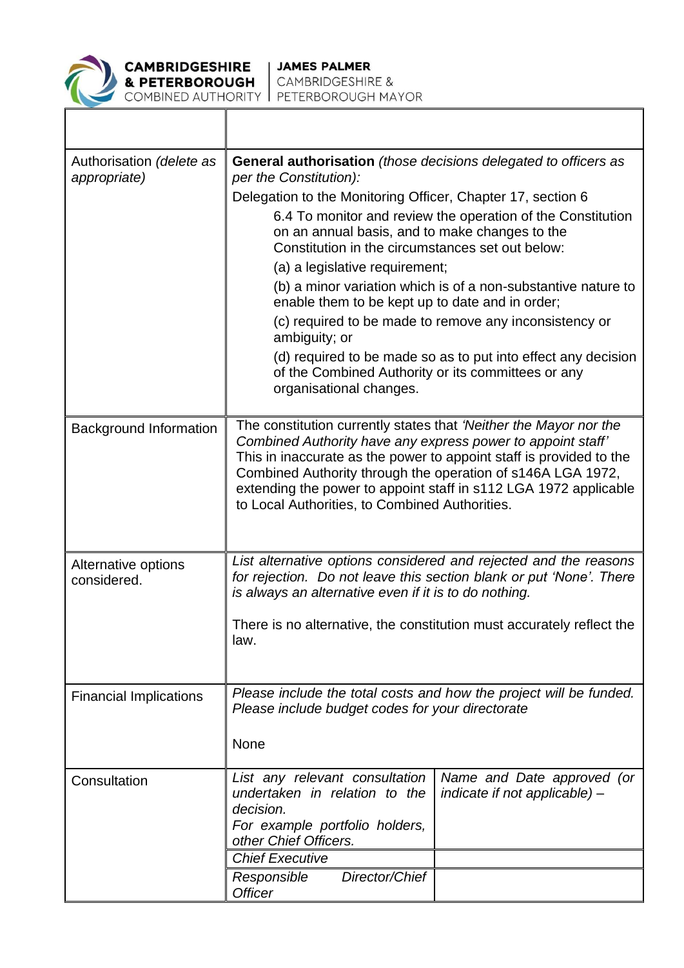

**CAMBRIDGESHIRE<br>& PETERBOROUGH** 

| Authorisation (delete as<br>appropriate) | <b>General authorisation</b> (those decisions delegated to officers as<br>per the Constitution):<br>Delegation to the Monitoring Officer, Chapter 17, section 6<br>6.4 To monitor and review the operation of the Constitution<br>on an annual basis, and to make changes to the<br>Constitution in the circumstances set out below:<br>(a) a legislative requirement;<br>(b) a minor variation which is of a non-substantive nature to<br>enable them to be kept up to date and in order;<br>(c) required to be made to remove any inconsistency or<br>ambiguity; or<br>(d) required to be made so as to put into effect any decision<br>of the Combined Authority or its committees or any<br>organisational changes. |  |  |
|------------------------------------------|-------------------------------------------------------------------------------------------------------------------------------------------------------------------------------------------------------------------------------------------------------------------------------------------------------------------------------------------------------------------------------------------------------------------------------------------------------------------------------------------------------------------------------------------------------------------------------------------------------------------------------------------------------------------------------------------------------------------------|--|--|
| <b>Background Information</b>            | The constitution currently states that 'Neither the Mayor nor the<br>Combined Authority have any express power to appoint staff'<br>This in inaccurate as the power to appoint staff is provided to the<br>Combined Authority through the operation of s146A LGA 1972,<br>extending the power to appoint staff in s112 LGA 1972 applicable<br>to Local Authorities, to Combined Authorities.                                                                                                                                                                                                                                                                                                                            |  |  |
| Alternative options<br>considered.       | List alternative options considered and rejected and the reasons<br>for rejection. Do not leave this section blank or put 'None'. There<br>is always an alternative even if it is to do nothing.<br>There is no alternative, the constitution must accurately reflect the<br>law.                                                                                                                                                                                                                                                                                                                                                                                                                                       |  |  |
| <b>Financial Implications</b>            | Please include the total costs and how the project will be funded.<br>Please include budget codes for your directorate<br>None                                                                                                                                                                                                                                                                                                                                                                                                                                                                                                                                                                                          |  |  |
| Consultation                             | List any relevant consultation<br>Name and Date approved (or<br>undertaken in relation to the<br>indicate if not applicable) -<br>decision.<br>For example portfolio holders,<br>other Chief Officers.<br><b>Chief Executive</b><br>Director/Chief<br>Responsible<br><b>Officer</b>                                                                                                                                                                                                                                                                                                                                                                                                                                     |  |  |